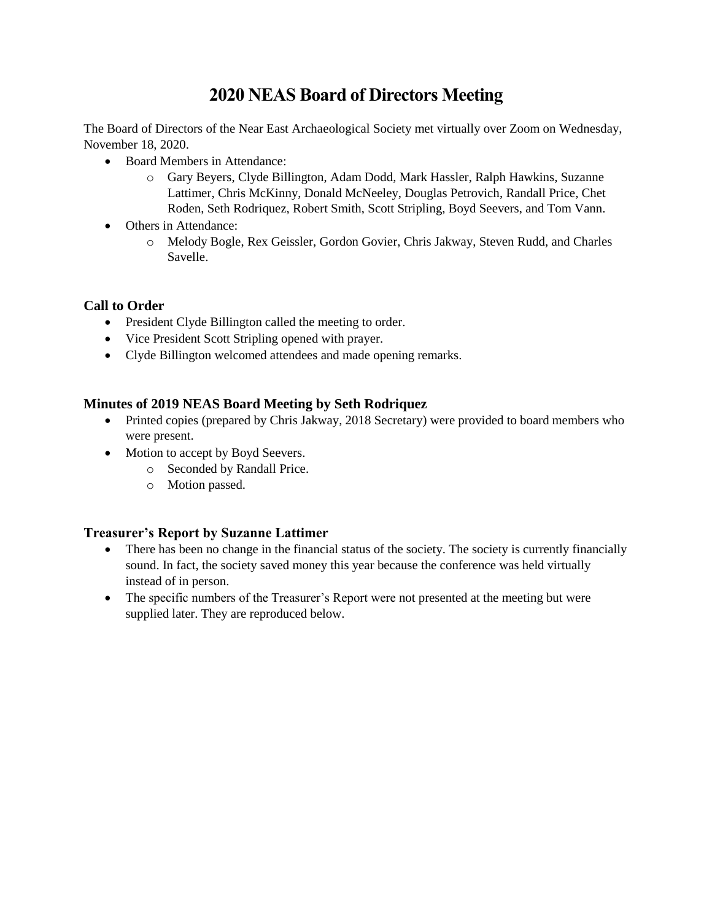# **2020 NEAS Board of Directors Meeting**

The Board of Directors of the Near East Archaeological Society met virtually over Zoom on Wednesday, November 18, 2020.

- Board Members in Attendance:
	- o Gary Beyers, Clyde Billington, Adam Dodd, Mark Hassler, Ralph Hawkins, Suzanne Lattimer, Chris McKinny, Donald McNeeley, Douglas Petrovich, Randall Price, Chet Roden, Seth Rodriquez, Robert Smith, Scott Stripling, Boyd Seevers, and Tom Vann.
- Others in Attendance:
	- o Melody Bogle, Rex Geissler, Gordon Govier, Chris Jakway, Steven Rudd, and Charles Savelle.

## **Call to Order**

- President Clyde Billington called the meeting to order.
- Vice President Scott Stripling opened with prayer.
- Clyde Billington welcomed attendees and made opening remarks.

## **Minutes of 2019 NEAS Board Meeting by Seth Rodriquez**

- Printed copies (prepared by Chris Jakway, 2018 Secretary) were provided to board members who were present.
- Motion to accept by Boyd Seevers.
	- o Seconded by Randall Price.
	- o Motion passed.

## **Treasurer's Report by Suzanne Lattimer**

- There has been no change in the financial status of the society. The society is currently financially sound. In fact, the society saved money this year because the conference was held virtually instead of in person.
- The specific numbers of the Treasurer's Report were not presented at the meeting but were supplied later. They are reproduced below.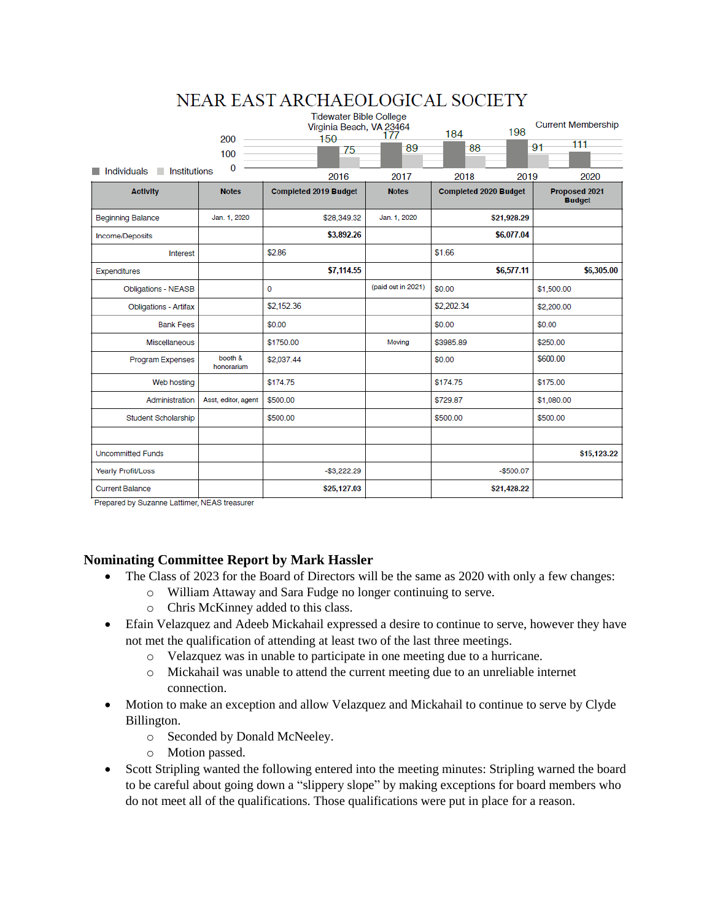| NEAR EAST ARCHAEOLOGICAL SOCIETY        |                       |                                                                   |                    |                              |                                |  |  |
|-----------------------------------------|-----------------------|-------------------------------------------------------------------|--------------------|------------------------------|--------------------------------|--|--|
|                                         | 200                   | <b>Tidewater Bible College</b><br>Virginia Beach, VA 23464<br>150 | 177                | 198<br>184                   | <b>Current Membership</b>      |  |  |
|                                         | 100                   | 75                                                                | -89                | 88                           | 111<br>91                      |  |  |
| $\Omega$<br>Institutions<br>Individuals |                       | 2016                                                              | 2017               | 2018<br>2019                 | 2020                           |  |  |
| <b>Activity</b>                         | <b>Notes</b>          | <b>Completed 2019 Budget</b>                                      | <b>Notes</b>       | <b>Completed 2020 Budget</b> | Proposed 2021<br><b>Budget</b> |  |  |
| <b>Beginning Balance</b>                | Jan. 1, 2020          | \$28,349.32                                                       | Jan. 1, 2020       | \$21,928.29                  |                                |  |  |
| Income/Deposits                         |                       | \$3,892.26                                                        |                    | \$6,077.04                   |                                |  |  |
| Interest                                |                       | \$2.86                                                            |                    | \$1.66                       |                                |  |  |
| <b>Expenditures</b>                     |                       | \$7,114.55                                                        |                    | \$6,577.11                   | \$6,305.00                     |  |  |
| <b>Obligations - NEASB</b>              |                       | 0                                                                 | (paid out in 2021) | \$0.00                       | \$1,500.00                     |  |  |
| <b>Obligations - Artifax</b>            |                       | \$2,152.36                                                        |                    | \$2,202.34                   | \$2,200.00                     |  |  |
| <b>Bank Fees</b>                        |                       | \$0.00                                                            |                    | \$0.00                       | \$0.00                         |  |  |
| Miscellaneous                           |                       | \$1750.00                                                         | Moving             | \$3985.89                    | \$250.00                       |  |  |
| Program Expenses                        | booth &<br>honorarium | \$2,037.44                                                        |                    | \$0.00                       | \$600.00                       |  |  |
| Web hosting                             |                       | \$174.75                                                          |                    | \$174.75                     | \$175.00                       |  |  |
| Administration                          | Asst, editor, agent   | \$500.00                                                          |                    | \$729.87                     | \$1,080.00                     |  |  |
| Student Scholarship                     |                       | \$500.00                                                          |                    | \$500.00                     | \$500.00                       |  |  |
|                                         |                       |                                                                   |                    |                              |                                |  |  |
| <b>Uncommitted Funds</b>                |                       |                                                                   |                    |                              | \$15,123.22                    |  |  |
| Yearly Profit/Loss                      |                       | $-$ \$3,222.29                                                    |                    | $-$500.07$                   |                                |  |  |
| <b>Current Balance</b>                  |                       | \$25,127.03                                                       |                    | \$21,428.22                  |                                |  |  |

Prepared by Suzanne Lattimer, NEAS treasurer

## **Nominating Committee Report by Mark Hassler**

- The Class of 2023 for the Board of Directors will be the same as 2020 with only a few changes:
	- o William Attaway and Sara Fudge no longer continuing to serve.
	- o Chris McKinney added to this class.
- Efain Velazquez and Adeeb Mickahail expressed a desire to continue to serve, however they have not met the qualification of attending at least two of the last three meetings.
	- o Velazquez was in unable to participate in one meeting due to a hurricane.
	- o Mickahail was unable to attend the current meeting due to an unreliable internet connection.
- Motion to make an exception and allow Velazquez and Mickahail to continue to serve by Clyde Billington.
	- o Seconded by Donald McNeeley.
	- o Motion passed.
- Scott Stripling wanted the following entered into the meeting minutes: Stripling warned the board to be careful about going down a "slippery slope" by making exceptions for board members who do not meet all of the qualifications. Those qualifications were put in place for a reason.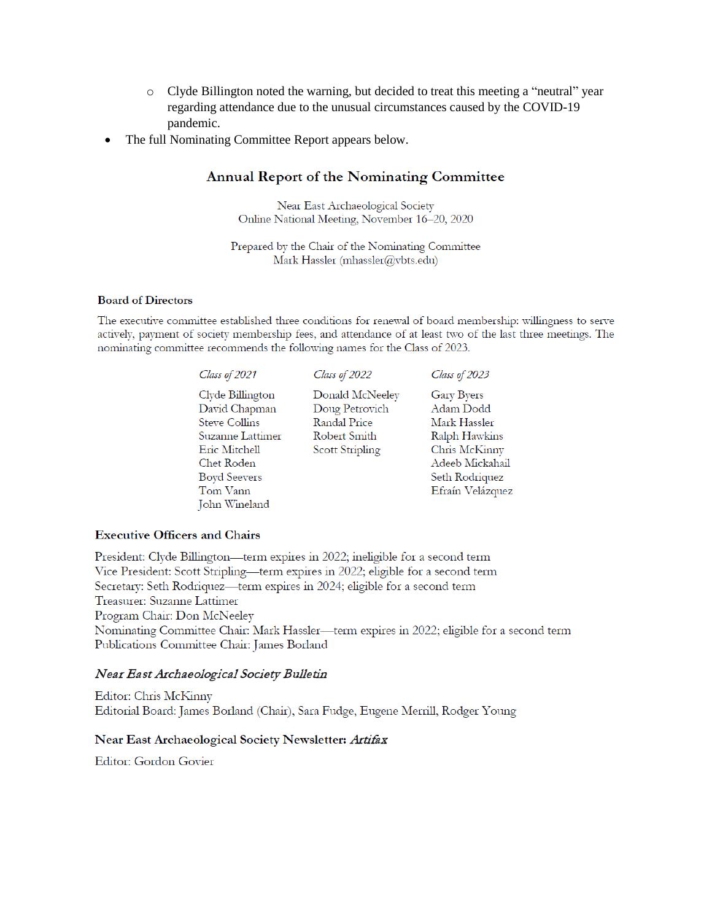- o Clyde Billington noted the warning, but decided to treat this meeting a "neutral" year regarding attendance due to the unusual circumstances caused by the COVID-19 pandemic.
- The full Nominating Committee Report appears below.

# Annual Report of the Nominating Committee

Near East Archaeological Society Online National Meeting, November 16-20, 2020

Prepared by the Chair of the Nominating Committee Mark Hassler (mhassler@vbts.edu)

#### **Board of Directors**

The executive committee established three conditions for renewal of board membership: willingness to serve actively, payment of society membership fees, and attendance of at least two of the last three meetings. The nominating committee recommends the following names for the Class of 2023.

| Class of 2021                                                                                                                                   | Class of 2022                                                                               | Class of 2023                                                                                                                      |
|-------------------------------------------------------------------------------------------------------------------------------------------------|---------------------------------------------------------------------------------------------|------------------------------------------------------------------------------------------------------------------------------------|
| Clyde Billington<br>David Chapman<br><b>Steve Collins</b><br>Suzanne Lattimer<br>Eric Mitchell<br>Chet Roden<br><b>Boyd Seevers</b><br>Tom Vann | Donald McNeeley<br>Doug Petrovich<br><b>Randal Price</b><br>Robert Smith<br>Scott Stripling | Gary Byers<br>Adam Dodd<br>Mark Hassler<br>Ralph Hawkins<br>Chris McKinny<br>Adeeb Mickahail<br>Seth Rodriquez<br>Efraín Velázquez |
| John Wineland                                                                                                                                   |                                                                                             |                                                                                                                                    |

#### **Executive Officers and Chairs**

President: Clyde Billington—term expires in 2022; ineligible for a second term Vice President: Scott Stripling—term expires in 2022; eligible for a second term Secretary: Seth Rodriquez—term expires in 2024; eligible for a second term Treasurer: Suzanne Lattimer Program Chair: Don McNeeley Nominating Committee Chair: Mark Hassler—term expires in 2022; eligible for a second term Publications Committee Chair: James Borland

#### Near East Archaeological Society Bulletin

Editor: Chris McKinny Editorial Board: James Borland (Chair), Sara Fudge, Eugene Merrill, Rodger Young

#### Near East Archaeological Society Newsletter: Artifax

Editor: Gordon Govier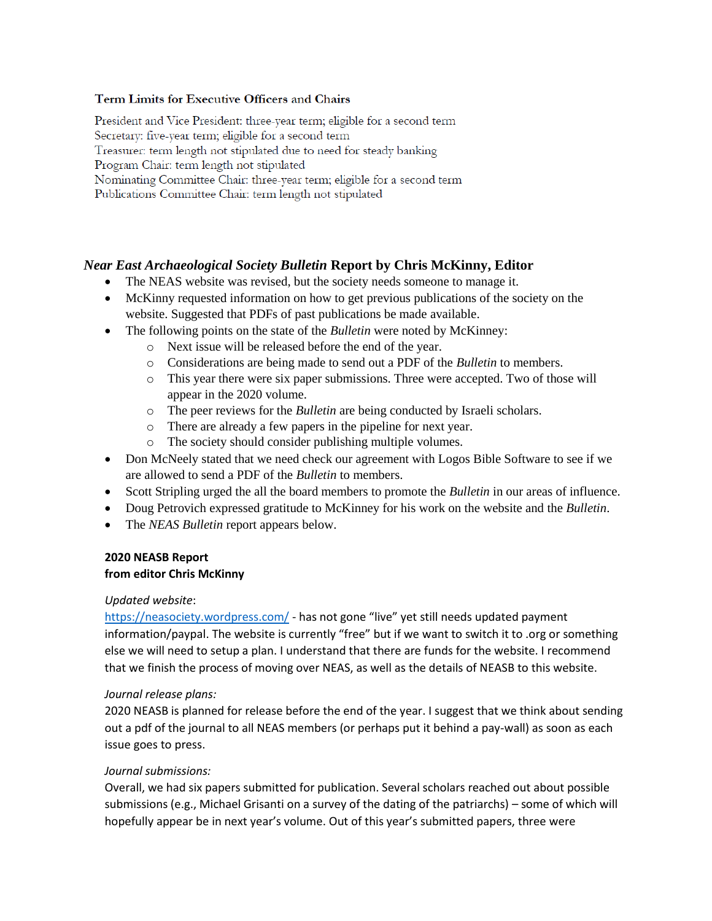## Term Limits for Executive Officers and Chairs

President and Vice President: three-year term; eligible for a second term Secretary: five-year term; eligible for a second term Treasurer: term length not stipulated due to need for steady banking Program Chair: term length not stipulated Nominating Committee Chair: three-year term; eligible for a second term Publications Committee Chair: term length not stipulated

## *Near East Archaeological Society Bulletin* **Report by Chris McKinny, Editor**

- The NEAS website was revised, but the society needs someone to manage it.
- McKinny requested information on how to get previous publications of the society on the website. Suggested that PDFs of past publications be made available.
- The following points on the state of the *Bulletin* were noted by McKinney:
	- o Next issue will be released before the end of the year.
	- o Considerations are being made to send out a PDF of the *Bulletin* to members.
	- o This year there were six paper submissions. Three were accepted. Two of those will appear in the 2020 volume.
	- o The peer reviews for the *Bulletin* are being conducted by Israeli scholars.
	- o There are already a few papers in the pipeline for next year.
	- o The society should consider publishing multiple volumes.
- Don McNeely stated that we need check our agreement with Logos Bible Software to see if we are allowed to send a PDF of the *Bulletin* to members.
- Scott Stripling urged the all the board members to promote the *Bulletin* in our areas of influence.
- Doug Petrovich expressed gratitude to McKinney for his work on the website and the *Bulletin*.
- The *NEAS Bulletin* report appears below.

## **2020 NEASB Report from editor Chris McKinny**

## *Updated website*:

<https://neasociety.wordpress.com/> - has not gone "live" yet still needs updated payment information/paypal. The website is currently "free" but if we want to switch it to .org or something else we will need to setup a plan. I understand that there are funds for the website. I recommend that we finish the process of moving over NEAS, as well as the details of NEASB to this website.

## *Journal release plans:*

2020 NEASB is planned for release before the end of the year. I suggest that we think about sending out a pdf of the journal to all NEAS members (or perhaps put it behind a pay-wall) as soon as each issue goes to press.

## *Journal submissions:*

Overall, we had six papers submitted for publication. Several scholars reached out about possible submissions (e.g., Michael Grisanti on a survey of the dating of the patriarchs) – some of which will hopefully appear be in next year's volume. Out of this year's submitted papers, three were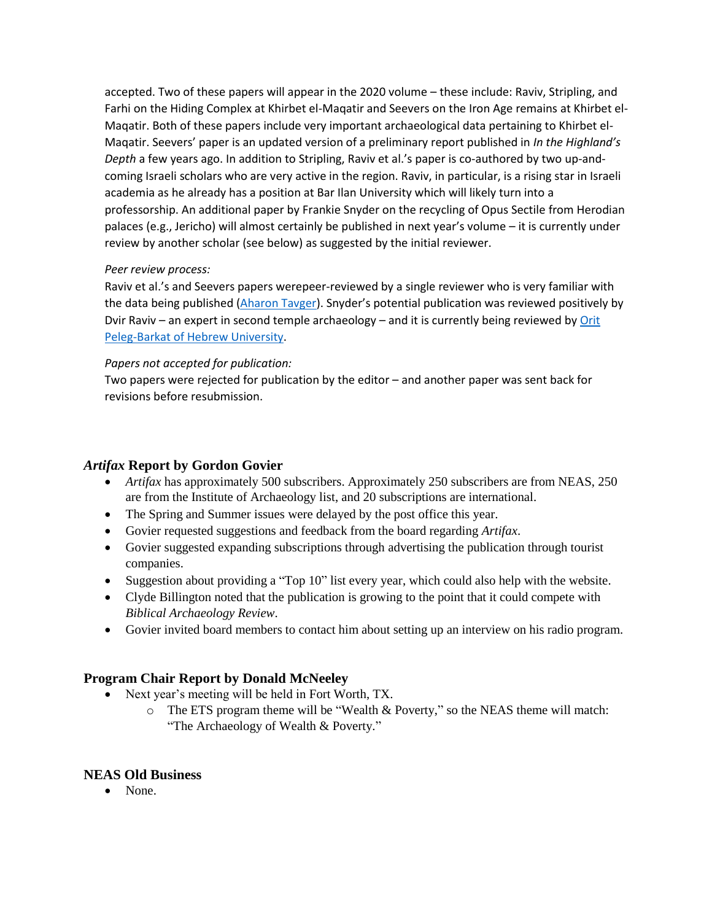accepted. Two of these papers will appear in the 2020 volume – these include: Raviv, Stripling, and Farhi on the Hiding Complex at Khirbet el-Maqatir and Seevers on the Iron Age remains at Khirbet el-Maqatir. Both of these papers include very important archaeological data pertaining to Khirbet el-Maqatir. Seevers' paper is an updated version of a preliminary report published in *In the Highland's Depth* a few years ago. In addition to Stripling, Raviv et al.'s paper is co-authored by two up-andcoming Israeli scholars who are very active in the region. Raviv, in particular, is a rising star in Israeli academia as he already has a position at Bar Ilan University which will likely turn into a professorship. An additional paper by Frankie Snyder on the recycling of Opus Sectile from Herodian palaces (e.g., Jericho) will almost certainly be published in next year's volume – it is currently under review by another scholar (see below) as suggested by the initial reviewer.

## *Peer review process:*

Raviv et al.'s and Seevers papers werepeer-reviewed by a single reviewer who is very familiar with the data being published [\(Aharon Tavger](https://telaviv.academia.edu/AharonTavger)). Snyder's potential publication was reviewed positively by Dvir Raviv – an expert in second temple archaeology – and it is currently being reviewed by Orit [Peleg-Barkat of Hebrew University.](https://huji.academia.edu/OritPelegBarkat)

## *Papers not accepted for publication:*

Two papers were rejected for publication by the editor – and another paper was sent back for revisions before resubmission.

## *Artifax* **Report by Gordon Govier**

- *Artifax* has approximately 500 subscribers. Approximately 250 subscribers are from NEAS, 250 are from the Institute of Archaeology list, and 20 subscriptions are international.
- The Spring and Summer issues were delayed by the post office this year.
- Govier requested suggestions and feedback from the board regarding *Artifax*.
- Govier suggested expanding subscriptions through advertising the publication through tourist companies.
- Suggestion about providing a "Top 10" list every year, which could also help with the website.
- Clyde Billington noted that the publication is growing to the point that it could compete with *Biblical Archaeology Review*.
- Govier invited board members to contact him about setting up an interview on his radio program.

# **Program Chair Report by Donald McNeeley**

- Next year's meeting will be held in Fort Worth, TX.
	- o The ETS program theme will be "Wealth & Poverty," so the NEAS theme will match: "The Archaeology of Wealth & Poverty."

# **NEAS Old Business**

• None